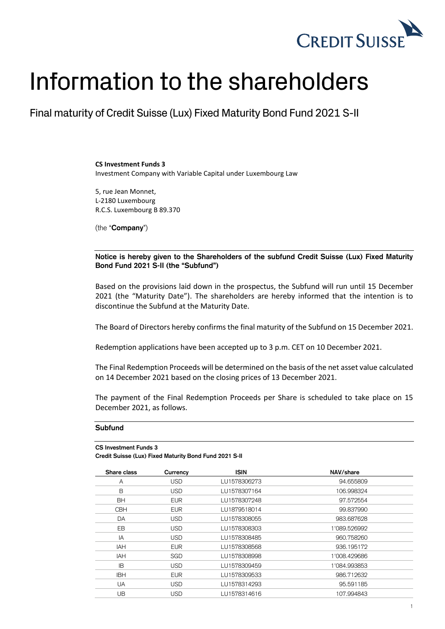

## Information to the shareholders

Final maturity of Credit Suisse (Lux) Fixed Maturity Bond Fund 2021 S-II

**CS Investment Funds 3** Investment Company with Variable Capital under Luxembourg Law

5, rue Jean Monnet, L-2180 Luxembourg R.C.S. Luxembourg B 89.370

(the "**Company**")

**Notice is hereby given to the Shareholders of the subfund Credit Suisse (Lux) Fixed Maturity Bond Fund 2021 S-II (the "Subfund")**

Based on the provisions laid down in the prospectus, the Subfund will run until 15 December 2021 (the "Maturity Date"). The shareholders are hereby informed that the intention is to discontinue the Subfund at the Maturity Date.

The Board of Directors hereby confirms the final maturity of the Subfund on 15 December 2021.

Redemption applications have been accepted up to 3 p.m. CET on 10 December 2021.

The Final Redemption Proceeds will be determined on the basis of the net asset value calculated on 14 December 2021 based on the closing prices of 13 December 2021.

The payment of the Final Redemption Proceeds per Share is scheduled to take place on 15 December 2021, as follows.

## **Subfund**

```
CS Investment Funds 3
```
**Credit Suisse (Lux) Fixed Maturity Bond Fund 2021 S-II**

| Share class | Currency   | <b>ISIN</b>  | NAV/share    |
|-------------|------------|--------------|--------------|
| A           | <b>USD</b> | LU1578306273 | 94.655809    |
| B           | <b>USD</b> | LU1578307164 | 106.998324   |
| <b>BH</b>   | <b>EUR</b> | LU1578307248 | 97.572554    |
| <b>CBH</b>  | <b>EUR</b> | LU1879518014 | 99.837990    |
| DA          | <b>USD</b> | LU1578308055 | 983.687628   |
| <b>EB</b>   | <b>USD</b> | LU1578308303 | 1'089.526992 |
| IA          | <b>USD</b> | LU1578308485 | 960.758260   |
| IAH         | <b>EUR</b> | LU1578308568 | 936.195172   |
| IAH         | SGD        | LU1578308998 | 1'008.429686 |
| IB          | <b>USD</b> | LU1578309459 | 1'084.993853 |
| <b>IBH</b>  | <b>EUR</b> | LU1578309533 | 986.712632   |
| <b>UA</b>   | <b>USD</b> | LU1578314293 | 95.591185    |
| UB.         | <b>USD</b> | LU1578314616 | 107.994843   |